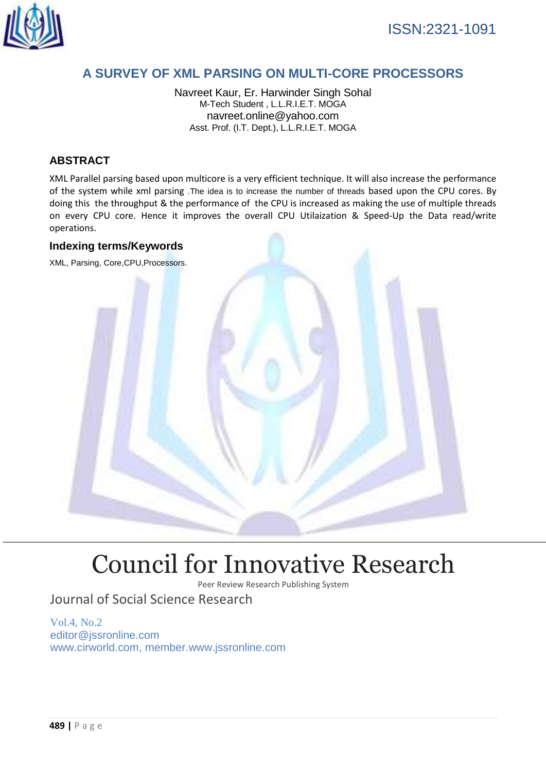

## **A SURVEY OF XML PARSING ON MULTI-CORE PROCESSORS**

Navreet Kaur, Er. Harwinder Singh Sohal M-Tech Student , L.L.R.I.E.T. MOGA navreet.online@yahoo.com Asst. Prof. (I.T. Dept.), L.L.R.I.E.T. MOGA

## **ABSTRACT**

XML Parallel parsing based upon multicore is a very efficient technique. It will also increase the performance of the system while xml parsing .The idea is to increase the number of threads based upon the CPU cores. By doing this the throughput & the performance of the CPU is increased as making the use of multiple threads on every CPU core. Hence it improves the overall CPU Utilaization & Speed-Up the Data read/write operations.

#### **Indexing terms/Keywords**

XML, Parsing, Core,CPU,Processors.



# [Council for Innovative Research](http://member.cirworld.com/)

Peer Review Research Publishing System

## Journal of Social Science Research

Vol.4, No.2 editor@jssronline.com [www.cirworld.com, me](http://www.cirworld.com/)mber.www.jssronline.com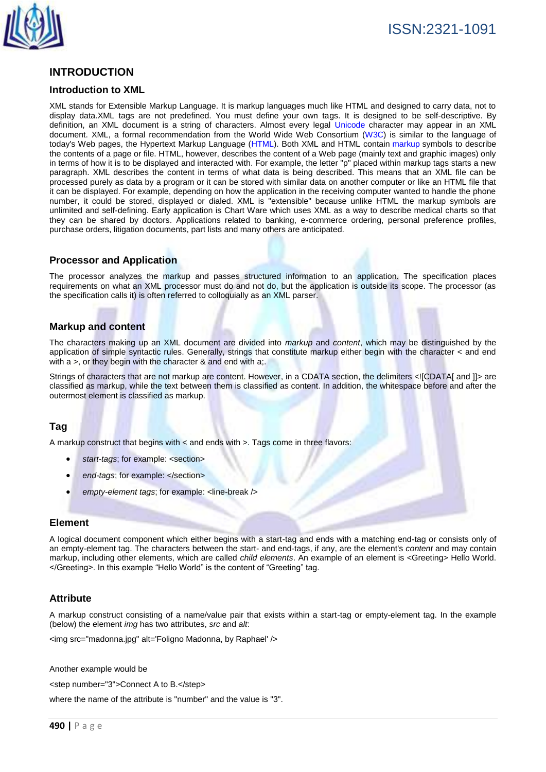

## **INTRODUCTION**

#### **Introduction to XML**

XML stands for Extensible Markup Language. It is markup languages much like HTML and designed to carry data, not to display data.XML tags are not predefined. You must define your own tags. It is designed to be self-descriptive. By definition, an XML document is a string of characters. Almost every legal [Unicode](http://en.wikipedia.org/wiki/Unicode) character may appear in an XML document. XML, a formal recommendation from the World Wide Web Consortium [\(W3C\)](http://searchsoa.techtarget.com/definition/W3C) is similar to the language of today's Web pages, the Hypertext Markup Language [\(HTML\)](http://searchsoa.techtarget.com/definition/HTML). Both XML and HTML contain [markup](http://searchsoa.techtarget.com/definition/markup) symbols to describe the contents of a page or file. HTML, however, describes the content of a Web page (mainly text and graphic images) only in terms of how it is to be displayed and interacted with. For example, the letter " $p$ " placed within markup tags starts a new paragraph. XML describes the content in terms of what data is being described. This means that an XML file can be processed purely as data by a program or it can be stored with similar data on another computer or like an HTML file that it can be displayed. For example, depending on how the application in the receiving computer wanted to handle the phone number, it could be stored, displayed or dialed. XML is "extensible" because unlike HTML the markup symbols are unlimited and self-defining. Early application is Chart Ware which uses XML as a way to describe medical charts so that they can be shared by doctors. Applications related to banking, e-commerce ordering, personal preference profiles, purchase orders, litigation documents, part lists and many others are anticipated.

#### **Processor and Application**

The processor analyzes the markup and passes structured information to an application. The specification places requirements on what an XML processor must do and not do, but the application is outside its scope. The processor (as the specification calls it) is often referred to colloquially as an XML parser.

#### **Markup and content**

The characters making up an XML document are divided into *markup* and *content*, which may be distinguished by the application of simple syntactic rules. Generally, strings that constitute markup either begin with the character < and end with a >, or they begin with the character & and end with a;

Strings of characters that are not markup are content. However, in a [CDATA](http://en.wikipedia.org/wiki/CDATA) section, the delimiters <![CDATA[ and ]]> are classified as markup, while the text between them is classified as content. In addition, the whitespace before and after the outermost element is classified as markup.

#### **Tag**

A markup construct that begins with < and ends with >. Tags come in three flavors:

- *start-tags*; for example: <section>
- end-tags; for example: </section>
- *empty-element tags*; for example: <line-break />

#### **Element**

A logical document component which either begins with a start-tag and ends with a matching end-tag or consists only of an empty-element tag. The characters between the start- and end-tags, if any, are the element's *content* and may contain markup, including other elements, which are called *child elements*. An example of an element is <Greeting> Hello World. </Greeting>. In this example "Hello World" is the content of "Greeting" tag.

#### **Attribute**

A markup construct consisting of a name/value pair that exists within a start-tag or empty-element tag. In the example (below) the element *img* has two attributes, *src* and *alt*:

<img src="madonna.jpg" alt='Foligno Madonna, by Raphael' />

Another example would be

<step number="3">Connect A to B.</step>

where the name of the attribute is "number" and the value is "3".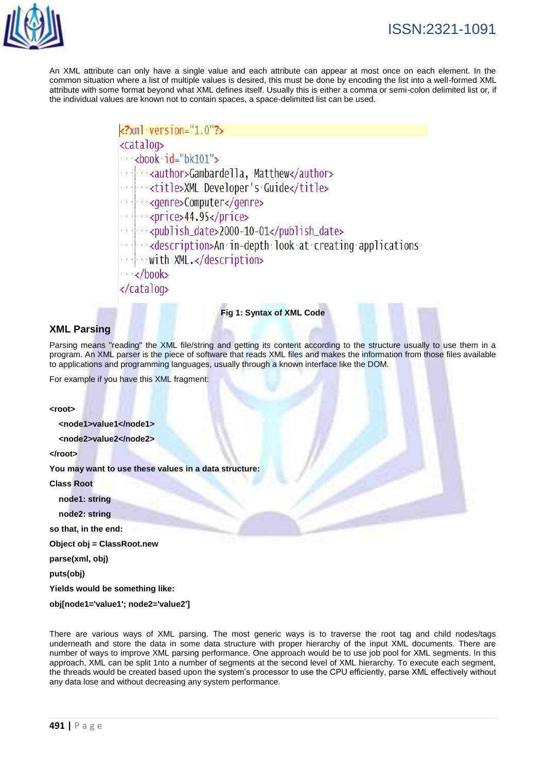

An XML attribute can only have a single value and each attribute can appear at most once on each element. In the common situation where a list of multiple values is desired, this must be done by encoding the list into a well-formed XML attribute with some format beyond what XML defines itself. Usually this is either a comma or semi-colon delimited list or, if the individual values are known not to contain spaces, a space-delimited list can be used.

```
<?xml version="1.0"?>
<catalog>
\cdots <br/>book id="bk101">
   - <author>Gambardella, Matthew</author>
   constitle>XMLcDeveloper's Guide</title>
   <genre>Computer</genre>
 ---<publish_date>2000-10-01</publish_date>
   \sim <description>An in-depth look at creating applications
 \rightarrow with XML.</description>
  \cdot</book>
</catalog>
```
#### **Fig 1: Syntax of XML Code**

#### **XML Parsing**

Parsing means "reading" the XML file/string and getting its content according to the structure usually to use them in a program. An XML parser is the piece of software that reads XML files and makes the information from those files available to applications and programming languages, usually through a known interface like the DOM.

For example if you have this XML fragment:

#### **<root>**

 **<node1>value1</node1>**

 **<node2>value2</node2>**

**</root>**

**You may want to use these values in a data structure:**

#### **Class Root**

 **node1: string**

 **node2: string**

**so that, in the end:**

**Object obj = ClassRoot.new**

**parse(xml, obj)**

**puts(obj)**

**Yields would be something like:**

**obj[node1='value1'; node2='value2']**

There are various ways of XML parsing. The most generic ways is to traverse the root tag and child nodes/tags underneath and store the data in some data structure with proper hierarchy of the input XML documents. There are number of ways to improve XML parsing performance. One approach would be to use job pool for XML segments. In this approach, XML can be split 1nto a number of segments at the second level of XML hierarchy. To execute each segment, the threads would be created based upon the system's processor to use the CPU efficiently, parse XML effectively without any data lose and without decreasing any system performance.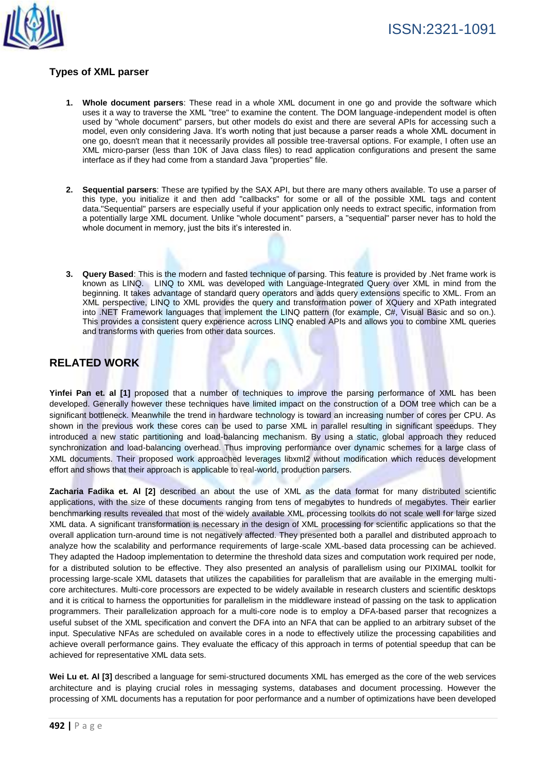

## **Types of XML parser**

- **1. Whole document parsers**: These read in a whole XML document in one go and provide the software which uses it a way to traverse the XML "tree" to examine the content. The DOM language-independent model is often used by "whole document" parsers, but other models do exist and there are several APIs for accessing such a model, even only considering Java. It's worth noting that just because a parser reads a whole XML document in one go, doesn't mean that it necessarily provides all possible tree-traversal options. For example, I often use an XML micro-parser (less than 10K of Java class files) to read application configurations and present the same interface as if they had come from a standard Java "properties" file.
- **2. Sequential parsers**: These are typified by the SAX API, but there are many others available. To use a parser of this type, you initialize it and then add "callbacks" for some or all of the possible XML tags and content data."Sequential" parsers are especially useful if your application only needs to extract specific, information from a potentially large XML document. Unlike "whole document" parsers, a "sequential" parser never has to hold the whole document in memory, just the bits it's interested in.
- **3. Query Based**: This is the modern and fasted technique of parsing. This feature is provided by .Net frame work is known as LINQ. LINQ to XML was developed with Language-Integrated Query over XML in mind from the beginning. It takes advantage of standard query operators and adds query extensions specific to XML. From an XML perspective, LINQ to XML provides the query and transformation power of XQuery and XPath integrated into .NET Framework languages that implement the LINQ pattern (for example, C#, Visual Basic and so on.). This provides a consistent query experience across LINQ enabled APIs and allows you to combine XML queries and transforms with queries from other data sources.

## **RELATED WORK**

**Yinfei Pan et. al [1]** proposed that a number of techniques to improve the parsing performance of XML has been developed. Generally however these techniques have limited impact on the construction of a DOM tree which can be a significant bottleneck. Meanwhile the trend in hardware technology is toward an increasing number of cores per CPU. As shown in the previous work these cores can be used to parse XML in parallel resulting in significant speedups. They introduced a new static partitioning and load-balancing mechanism. By using a static, global approach they reduced synchronization and load-balancing overhead. Thus improving performance over dynamic schemes for a large class of XML documents. Their proposed work approached leverages libxml2 without modification which reduces development effort and shows that their approach is applicable to real-world, production parsers.

**Zacharia Fadika et. Al [2]** described an about the use of XML as the data format for many distributed scientific applications, with the size of these documents ranging from tens of megabytes to hundreds of megabytes. Their earlier benchmarking results revealed that most of the widely available XML processing toolkits do not scale well for large sized XML data. A significant transformation is necessary in the design of XML processing for scientific applications so that the overall application turn-around time is not negatively affected. They presented both a parallel and distributed approach to analyze how the scalability and performance requirements of large-scale XML-based data processing can be achieved. They adapted the Hadoop implementation to determine the threshold data sizes and computation work required per node, for a distributed solution to be effective. They also presented an analysis of parallelism using our PIXIMAL toolkit for processing large-scale XML datasets that utilizes the capabilities for parallelism that are available in the emerging multicore architectures. Multi-core processors are expected to be widely available in research clusters and scientific desktops and it is critical to harness the opportunities for parallelism in the middleware instead of passing on the task to application programmers. Their parallelization approach for a multi-core node is to employ a DFA-based parser that recognizes a useful subset of the XML specification and convert the DFA into an NFA that can be applied to an arbitrary subset of the input. Speculative NFAs are scheduled on available cores in a node to effectively utilize the processing capabilities and achieve overall performance gains. They evaluate the efficacy of this approach in terms of potential speedup that can be achieved for representative XML data sets.

Wei Lu et. Al [3] described a language for semi-structured documents XML has emerged as the core of the web services architecture and is playing crucial roles in messaging systems, databases and document processing. However the processing of XML documents has a reputation for poor performance and a number of optimizations have been developed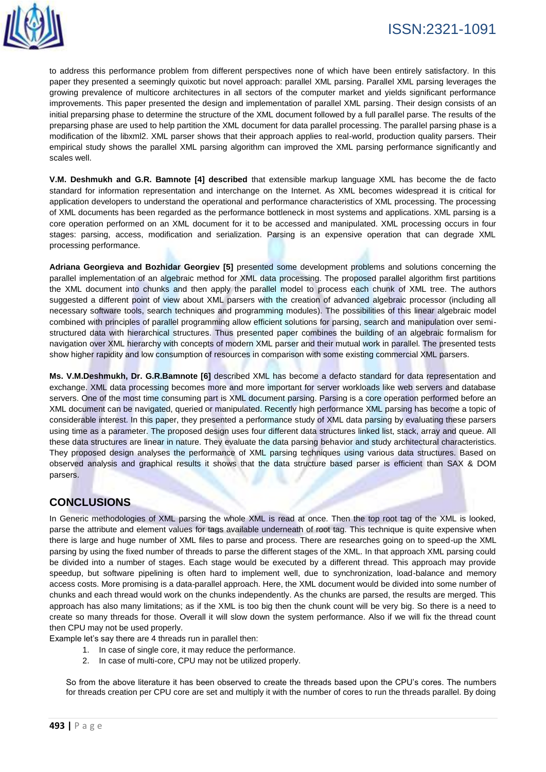

to address this performance problem from different perspectives none of which have been entirely satisfactory. In this paper they presented a seemingly quixotic but novel approach: parallel XML parsing. Parallel XML parsing leverages the growing prevalence of multicore architectures in all sectors of the computer market and yields significant performance improvements. This paper presented the design and implementation of parallel XML parsing. Their design consists of an initial preparsing phase to determine the structure of the XML document followed by a full parallel parse. The results of the preparsing phase are used to help partition the XML document for data parallel processing. The parallel parsing phase is a modification of the libxml2. XML parser shows that their approach applies to real-world, production quality parsers. Their empirical study shows the parallel XML parsing algorithm can improved the XML parsing performance significantly and scales well.

**V.M. Deshmukh and G.R. Bamnote [4] described** that extensible markup language XML has become the de facto standard for information representation and interchange on the Internet. As XML becomes widespread it is critical for application developers to understand the operational and performance characteristics of XML processing. The processing of XML documents has been regarded as the performance bottleneck in most systems and applications. XML parsing is a core operation performed on an XML document for it to be accessed and manipulated. XML processing occurs in four stages: parsing, access, modification and serialization. Parsing is an expensive operation that can degrade XML processing performance.

**Adriana Georgieva and Bozhidar Georgiev [5]** presented some development problems and solutions concerning the parallel implementation of an algebraic method for XML data processing. The proposed parallel algorithm first partitions the XML document into chunks and then apply the parallel model to process each chunk of XML tree. The authors suggested a different point of view about XML parsers with the creation of advanced algebraic processor (including all necessary software tools, search techniques and programming modules). The possibilities of this linear algebraic model combined with principles of parallel programming allow efficient solutions for parsing, search and manipulation over semistructured data with hierarchical structures. Thus presented paper combines the building of an algebraic formalism for navigation over XML hierarchy with concepts of modern XML parser and their mutual work in parallel. The presented tests show higher rapidity and low consumption of resources in comparison with some existing commercial XML parsers.

**Ms. V.M.Deshmukh, Dr. G.R.Bamnote [6]** described XML has become a defacto standard for data representation and exchange. XML data processing becomes more and more important for server workloads like web servers and database servers. One of the most time consuming part is XML document parsing. Parsing is a core operation performed before an XML document can be navigated, queried or manipulated. Recently high performance XML parsing has become a topic of considerable interest. In this paper, they presented a performance study of XML data parsing by evaluating these parsers using time as a parameter. The proposed design uses four different data structures linked list, stack, array and queue. All these data structures are linear in nature. They evaluate the data parsing behavior and study architectural characteristics. They proposed design analyses the performance of XML parsing techniques using various data structures. Based on observed analysis and graphical results it shows that the data structure based parser is efficient than SAX & DOM parsers.

## **CONCLUSIONS**

In Generic methodologies of XML parsing the whole XML is read at once. Then the top root tag of the XML is looked, parse the attribute and element values for tags available underneath of root tag. This technique is quite expensive when there is large and huge number of XML files to parse and process. There are researches going on to speed-up the XML parsing by using the fixed number of threads to parse the different stages of the XML. In that approach XML parsing could be divided into a number of stages. Each stage would be executed by a different thread. This approach may provide speedup, but software pipelining is often hard to implement well, due to synchronization, load-balance and memory access costs. More promising is a data-parallel approach. Here, the XML document would be divided into some number of chunks and each thread would work on the chunks independently. As the chunks are parsed, the results are merged. This approach has also many limitations; as if the XML is too big then the chunk count will be very big. So there is a need to create so many threads for those. Overall it will slow down the system performance. Also if we will fix the thread count then CPU may not be used properly.

Example let's say there are 4 threads run in parallel then:

- 1. In case of single core, it may reduce the performance.
- 2. In case of multi-core, CPU may not be utilized properly.

So from the above literature it has been observed to create the threads based upon the CPU's cores. The numbers for threads creation per CPU core are set and multiply it with the number of cores to run the threads parallel. By doing